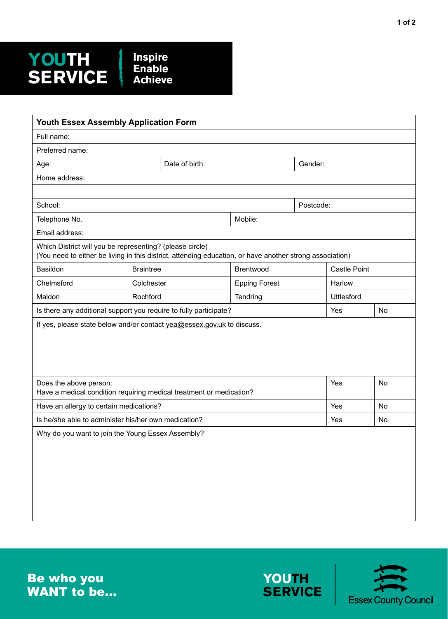## **YOUTH SERVICE Inspire Enable Achieve**

| Youth Essex Assembly Application Form                                                                                                                                |                  |                |                      |           |                     |    |  |  |  |
|----------------------------------------------------------------------------------------------------------------------------------------------------------------------|------------------|----------------|----------------------|-----------|---------------------|----|--|--|--|
| Full name:                                                                                                                                                           |                  |                |                      |           |                     |    |  |  |  |
| Preferred name:                                                                                                                                                      |                  |                |                      |           |                     |    |  |  |  |
| Age:                                                                                                                                                                 |                  | Date of birth: |                      | Gender:   |                     |    |  |  |  |
| Home address:                                                                                                                                                        |                  |                |                      |           |                     |    |  |  |  |
|                                                                                                                                                                      |                  |                |                      |           |                     |    |  |  |  |
| School:                                                                                                                                                              |                  |                |                      | Postcode: |                     |    |  |  |  |
| Telephone No.                                                                                                                                                        |                  |                | Mobile:              |           |                     |    |  |  |  |
| Email address:                                                                                                                                                       |                  |                |                      |           |                     |    |  |  |  |
| Which District will you be representing? (please circle)<br>(You need to either be living in this district, attending education, or have another strong association) |                  |                |                      |           |                     |    |  |  |  |
| Basildon                                                                                                                                                             | <b>Braintree</b> |                | Brentwood            |           | <b>Castle Point</b> |    |  |  |  |
| Chelmsford                                                                                                                                                           | Colchester       |                | <b>Epping Forest</b> |           | Harlow              |    |  |  |  |
| Maldon                                                                                                                                                               | Rochford         |                | Tendring             |           | Uttlesford          |    |  |  |  |
| Is there any additional support you require to fully participate?                                                                                                    |                  | Yes            | No                   |           |                     |    |  |  |  |
| If yes, please state below and/or contact yea@essex.gov.uk to discuss.                                                                                               |                  |                |                      |           |                     |    |  |  |  |
| Does the above person:<br>Have a medical condition requiring medical treatment or medication?                                                                        |                  |                |                      |           | Yes                 | No |  |  |  |
| Have an allergy to certain medications?                                                                                                                              |                  |                |                      |           |                     | No |  |  |  |
| Is he/she able to administer his/her own medication?                                                                                                                 |                  | Yes            | No                   |           |                     |    |  |  |  |
| Why do you want to join the Young Essex Assembly?                                                                                                                    |                  |                |                      |           |                     |    |  |  |  |